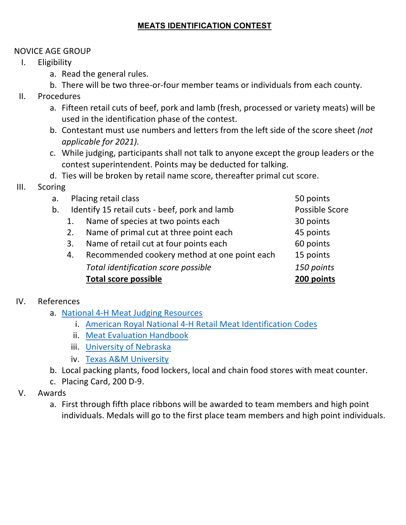#### **MEATS IDENTIFICATION CONTEST**

### NOVICE AGE GROUP

- I. Eligibility
	- a. Read the general rules.
	- b. There will be two three-or-four member teams or individuals from each county.
- II. Procedures
	- a. Fifteen retail cuts of beef, pork and lamb (fresh, processed or variety meats) will be used in the identification phase of the contest.
	- b. Contestant must use numbers and letters from the left side of the score sheet *(not applicable for 2021).*
	- c. While judging, participants shall not talk to anyone except the group leaders or the contest superintendent. Points may be deducted for talking.
	- d. Ties will be broken by retail name score, thereafter primal cut score.
- III. Scoring

| a. |    | Placing retail class                          | 50 points      |
|----|----|-----------------------------------------------|----------------|
| b. |    | Identify 15 retail cuts - beef, pork and lamb | Possible Score |
|    | 1. | Name of species at two points each            | 30 points      |
|    | 2. | Name of primal cut at three point each        | 45 points      |
|    | 3. | Name of retail cut at four points each        | 60 points      |
|    | 4. | Recommended cookery method at one point each  | 15 points      |
|    |    | Total identification score possible           | 150 points     |
|    |    | <b>Total score possible</b>                   | 200 points     |

# IV. References

- a. National 4-H Meat Judging Resources
	- i. American Royal National 4-H Retail Meat Identification Codes
	- ii. Meat Evaluation Handbook
	- iii. University of Nebraska
	- iv. Texas A&M University
- b. Local packing plants, food lockers, local and chain food stores with meat counter.
- c. Placing Card, 200 D-9.
- V. Awards
	- a. First through fifth place ribbons will be awarded to team members and high point individuals. Medals will go to the first place team members and high point individuals.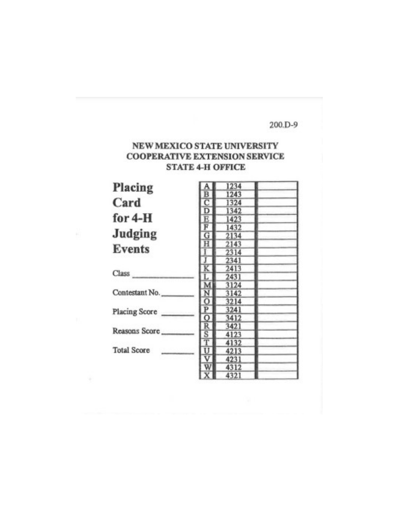#### 200.D-9

## NEW MEXICO STATE UNIVERSITY **COOPERATIVE EXTENSION SERVICE STATE 4-H OFFICE**

<u>아파이어</u>파이

н

1234<br>1243

1324 1342

1423 1432

2134

 $\frac{2143}{2214}$ 

Placing Card for  $4-H$ **Judging Events** 

| $-$                  | 43 14 |  |
|----------------------|-------|--|
|                      | 2341  |  |
|                      | 2413  |  |
| Class                | 2431  |  |
|                      | 3124  |  |
| Contestant No.       | 3142  |  |
|                      | 3214  |  |
| <b>Placing Score</b> | 3241  |  |
|                      | 3412  |  |
|                      | 3421  |  |
| Reasons Score        | 4123  |  |
|                      | 4132  |  |
| <b>Total Score</b>   | 4213  |  |
|                      | 4231  |  |
|                      | 4312  |  |
|                      | 4321  |  |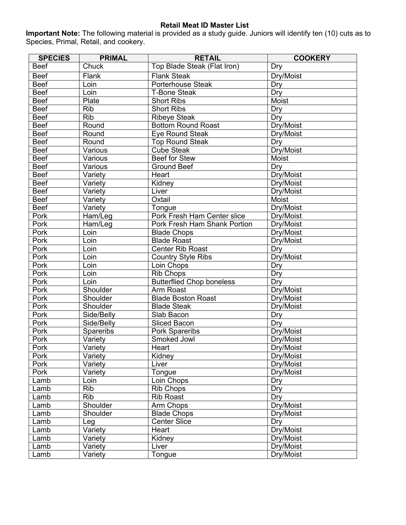#### **Retail Meat ID Master List**

 **Important Note:** The following material is provided as a study guide. Juniors will identify ten (10) cuts as to Species, Primal, Retail, and cookery.

| <b>SPECIES</b> | <b>PRIMAL</b>  | <b>RETAIL</b>                    | <b>COOKERY</b> |
|----------------|----------------|----------------------------------|----------------|
| <b>Beef</b>    | Chuck          | Top Blade Steak (Flat Iron)      | Dry            |
| <b>Beef</b>    | Flank          | <b>Flank Steak</b>               | Dry/Moist      |
| <b>Beef</b>    | Loin           | <b>Porterhouse Steak</b>         | Dry            |
| <b>Beef</b>    | Loin           | <b>T-Bone Steak</b>              | Dry            |
| <b>Beef</b>    | Plate          | <b>Short Ribs</b>                | <b>Moist</b>   |
| <b>Beef</b>    | <b>Rib</b>     | <b>Short Ribs</b>                | Dry            |
| <b>Beef</b>    | <b>Rib</b>     | <b>Ribeye Steak</b>              | Dry            |
| <b>Beef</b>    | Round          | <b>Bottom Round Roast</b>        | Dry/Moist      |
| <b>Beef</b>    | Round          | <b>Eye Round Steak</b>           | Dry/Moist      |
| <b>Beef</b>    | Round          | Top Round Steak                  | Dry            |
| <b>Beef</b>    | Various        | <b>Cube Steak</b>                | Dry/Moist      |
| <b>Beef</b>    | Various        | <b>Beef for Stew</b>             | Moist          |
| <b>Beef</b>    | Various        | <b>Ground Beef</b>               | Dry            |
| <b>Beef</b>    | Variety        | Heart                            | Dry/Moist      |
| <b>Beef</b>    | Variety        | Kidney                           | Dry/Moist      |
| <b>Beef</b>    | Variety        | Liver                            | Dry/Moist      |
| <b>Beef</b>    | Variety        | Oxtail                           | Moist          |
| <b>Beef</b>    | Variety        | Tongue                           | Dry/Moist      |
| Pork           | Ham/Leg        | Pork Fresh Ham Center slice      | Dry/Moist      |
| Pork           | Ham/Leg        | Pork Fresh Ham Shank Portion     | Dry/Moist      |
| Pork           | Loin           | <b>Blade Chops</b>               | Dry/Moist      |
| Pork           | Loin           | <b>Blade Roast</b>               | Dry/Moist      |
| Pork           | Loin           | <b>Center Rib Roast</b>          | Dry            |
| Pork           | Loin           | <b>Country Style Ribs</b>        | Dry/Moist      |
| Pork           | Loin           | Loin Chops                       | Dry            |
| Pork           | Loin           | Rib Chops                        | Dry            |
| Pork           | Loin           | <b>Butterflied Chop boneless</b> | Dry            |
| Pork           | Shoulder       | Arm Roast                        | Dry/Moist      |
| Pork           | Shoulder       | <b>Blade Boston Roast</b>        | Dry/Moist      |
| Pork           | Shoulder       | <b>Blade Steak</b>               | Dry/Moist      |
| Pork           | Side/Belly     | Slab Bacon                       | Dry            |
| Pork           | Side/Belly     | <b>Sliced Bacon</b>              | Dry            |
| Pork           | Spareribs      | Pork Spareribs                   | Dry/Moist      |
| Pork           | Variety        | Smoked Jowl                      | Dry/Moist      |
| Pork           | Variety        | Heart                            | Dry/Moist      |
| Pork           | Variety        | Kidney                           | Dry/Moist      |
| Pork           | Variety        | Liver                            | Dry/Moist      |
| Pork           | Variety        | Tongue                           | Dry/Moist      |
| Lamb           | Loin           | Loin Chops                       | Dry            |
| Lamb           | Rib            | Rib Chops                        | Dry            |
| Lamb           | <b>Rib</b>     | <b>Rib Roast</b>                 | Dry            |
| Lamb           | Shoulder       | Arm Chops                        | Dry/Moist      |
| Lamb           | Shoulder       | <b>Blade Chops</b>               | Dry/Moist      |
| Lamb           | Leg            | <b>Center Slice</b>              | Dry            |
| Lamb           | <b>Variety</b> | Heart                            | Dry/Moist      |
| Lamb           | Variety        | Kidney                           | Dry/Moist      |
| Lamb           | Variety        | Liver                            | Dry/Moist      |
| Lamb           | Variety        | Tongue                           | Dry/Moist      |